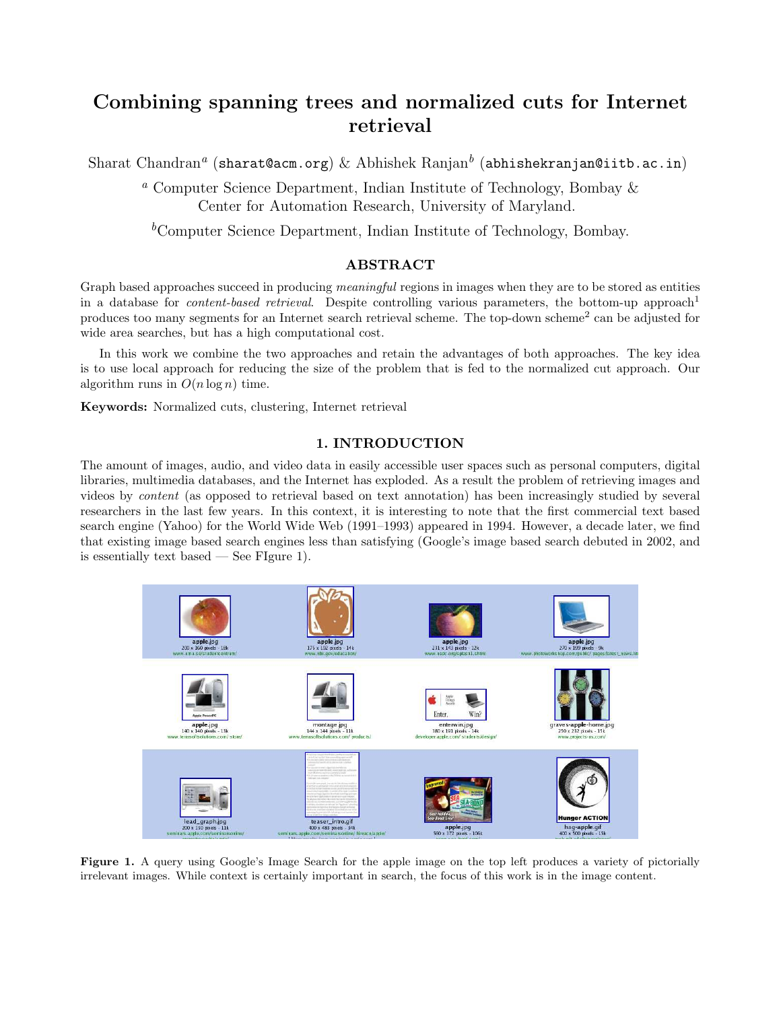# Combining spanning trees and normalized cuts for Internet retrieval

Sharat Chandran $^a$  (sharat@acm.org)  $\&$  Abhishek Ranjan $^b$  (abhishekranjan@iitb.ac.in)

<sup>a</sup> Computer Science Department, Indian Institute of Technology, Bombay  $\&$ Center for Automation Research, University of Maryland.

 ${}^b$ Computer Science Department, Indian Institute of Technology, Bombay.

# ABSTRACT

Graph based approaches succeed in producing *meaningful* regions in images when they are to be stored as entities in a database for *content-based retrieval*. Despite controlling various parameters, the bottom-up approach<sup>1</sup> produces too many segments for an Internet search retrieval scheme. The top-down scheme<sup>2</sup> can be adjusted for wide area searches, but has a high computational cost.

In this work we combine the two approaches and retain the advantages of both approaches. The key idea is to use local approach for reducing the size of the problem that is fed to the normalized cut approach. Our algorithm runs in  $O(n \log n)$  time.

Keywords: Normalized cuts, clustering, Internet retrieval

# 1. INTRODUCTION

The amount of images, audio, and video data in easily accessible user spaces such as personal computers, digital libraries, multimedia databases, and the Internet has exploded. As a result the problem of retrieving images and videos by content (as opposed to retrieval based on text annotation) has been increasingly studied by several researchers in the last few years. In this context, it is interesting to note that the first commercial text based search engine (Yahoo) for the World Wide Web (1991–1993) appeared in 1994. However, a decade later, we find that existing image based search engines less than satisfying (Google's image based search debuted in 2002, and is essentially text based  $\sim$  See FIgure 1).



Figure 1. A query using Google's Image Search for the apple image on the top left produces a variety of pictorially irrelevant images. While context is certainly important in search, the focus of this work is in the image content.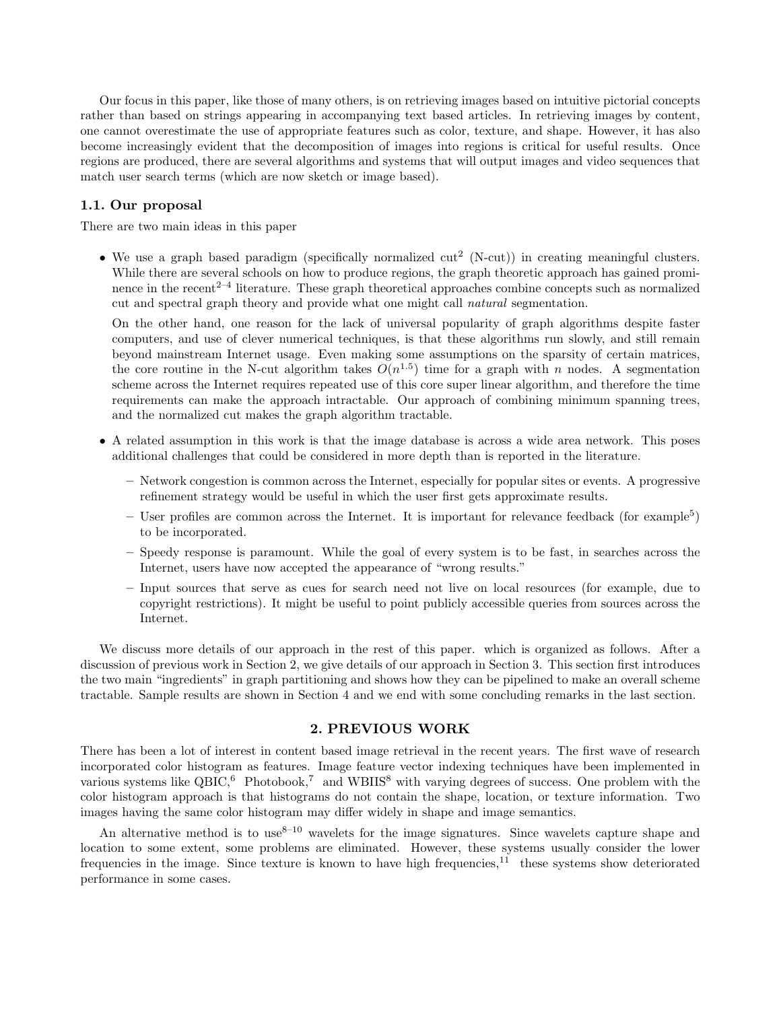Our focus in this paper, like those of many others, is on retrieving images based on intuitive pictorial concepts rather than based on strings appearing in accompanying text based articles. In retrieving images by content, one cannot overestimate the use of appropriate features such as color, texture, and shape. However, it has also become increasingly evident that the decomposition of images into regions is critical for useful results. Once regions are produced, there are several algorithms and systems that will output images and video sequences that match user search terms (which are now sketch or image based).

#### 1.1. Our proposal

There are two main ideas in this paper

• We use a graph based paradigm (specifically normalized  $cut^2$  (N-cut)) in creating meaningful clusters. While there are several schools on how to produce regions, the graph theoretic approach has gained prominence in the recent<sup>2–4</sup> literature. These graph theoretical approaches combine concepts such as normalized cut and spectral graph theory and provide what one might call natural segmentation.

On the other hand, one reason for the lack of universal popularity of graph algorithms despite faster computers, and use of clever numerical techniques, is that these algorithms run slowly, and still remain beyond mainstream Internet usage. Even making some assumptions on the sparsity of certain matrices, the core routine in the N-cut algorithm takes  $O(n^{1.5})$  time for a graph with n nodes. A segmentation scheme across the Internet requires repeated use of this core super linear algorithm, and therefore the time requirements can make the approach intractable. Our approach of combining minimum spanning trees, and the normalized cut makes the graph algorithm tractable.

- A related assumption in this work is that the image database is across a wide area network. This poses additional challenges that could be considered in more depth than is reported in the literature.
	- Network congestion is common across the Internet, especially for popular sites or events. A progressive refinement strategy would be useful in which the user first gets approximate results.
	- $-$  User profiles are common across the Internet. It is important for relevance feedback (for example<sup>5</sup>) to be incorporated.
	- Speedy response is paramount. While the goal of every system is to be fast, in searches across the Internet, users have now accepted the appearance of "wrong results."
	- Input sources that serve as cues for search need not live on local resources (for example, due to copyright restrictions). It might be useful to point publicly accessible queries from sources across the Internet.

We discuss more details of our approach in the rest of this paper. which is organized as follows. After a discussion of previous work in Section 2, we give details of our approach in Section 3. This section first introduces the two main "ingredients" in graph partitioning and shows how they can be pipelined to make an overall scheme tractable. Sample results are shown in Section 4 and we end with some concluding remarks in the last section.

## 2. PREVIOUS WORK

There has been a lot of interest in content based image retrieval in the recent years. The first wave of research incorporated color histogram as features. Image feature vector indexing techniques have been implemented in various systems like  $QBIC<sup>6</sup>$  Photobook,<sup>7</sup> and WBIIS<sup>8</sup> with varying degrees of success. One problem with the color histogram approach is that histograms do not contain the shape, location, or texture information. Two images having the same color histogram may differ widely in shape and image semantics.

An alternative method is to use<sup>8–10</sup> wavelets for the image signatures. Since wavelets capture shape and location to some extent, some problems are eliminated. However, these systems usually consider the lower frequencies in the image. Since texture is known to have high frequencies,<sup>11</sup> these systems show deteriorated performance in some cases.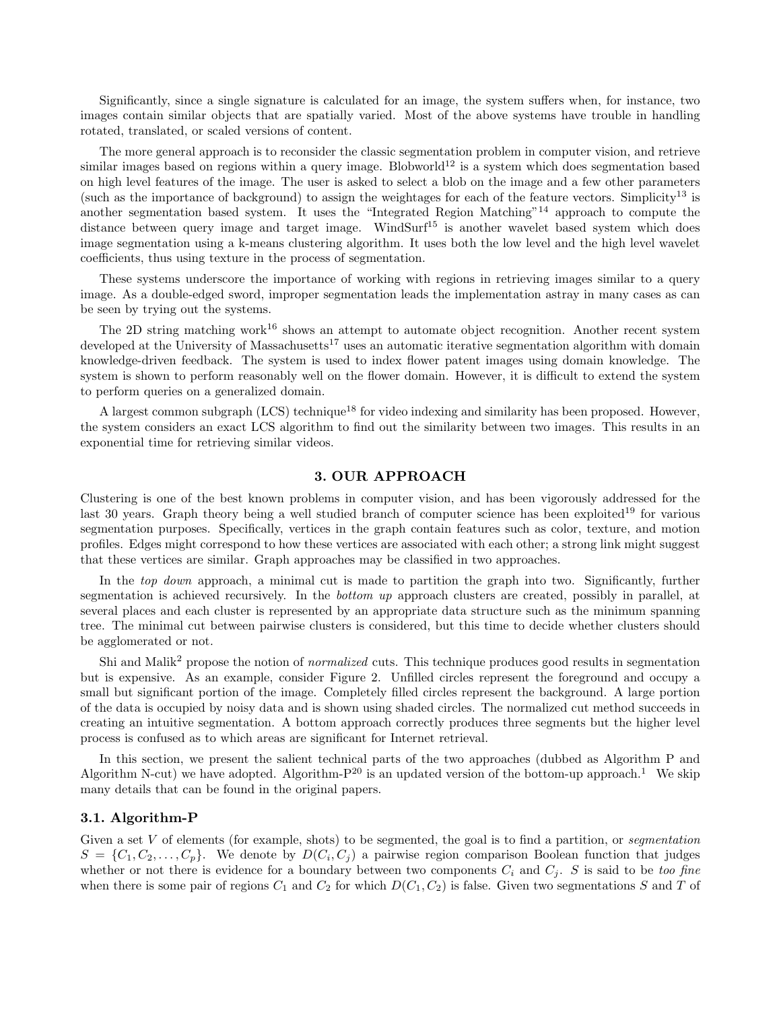Significantly, since a single signature is calculated for an image, the system suffers when, for instance, two images contain similar objects that are spatially varied. Most of the above systems have trouble in handling rotated, translated, or scaled versions of content.

The more general approach is to reconsider the classic segmentation problem in computer vision, and retrieve similar images based on regions within a query image. Blobworld<sup>12</sup> is a system which does segmentation based on high level features of the image. The user is asked to select a blob on the image and a few other parameters (such as the importance of background) to assign the weightages for each of the feature vectors. Simplicity<sup>13</sup> is another segmentation based system. It uses the "Integrated Region Matching"<sup>14</sup> approach to compute the distance between query image and target image. WindSurf<sup>15</sup> is another wavelet based system which does image segmentation using a k-means clustering algorithm. It uses both the low level and the high level wavelet coefficients, thus using texture in the process of segmentation.

These systems underscore the importance of working with regions in retrieving images similar to a query image. As a double-edged sword, improper segmentation leads the implementation astray in many cases as can be seen by trying out the systems.

The 2D string matching work<sup>16</sup> shows an attempt to automate object recognition. Another recent system developed at the University of Massachusetts<sup>17</sup> uses an automatic iterative segmentation algorithm with domain knowledge-driven feedback. The system is used to index flower patent images using domain knowledge. The system is shown to perform reasonably well on the flower domain. However, it is difficult to extend the system to perform queries on a generalized domain.

A largest common subgraph  $(LCS)$  technique<sup>18</sup> for video indexing and similarity has been proposed. However, the system considers an exact LCS algorithm to find out the similarity between two images. This results in an exponential time for retrieving similar videos.

# 3. OUR APPROACH

Clustering is one of the best known problems in computer vision, and has been vigorously addressed for the last 30 years. Graph theory being a well studied branch of computer science has been exploited<sup>19</sup> for various segmentation purposes. Specifically, vertices in the graph contain features such as color, texture, and motion profiles. Edges might correspond to how these vertices are associated with each other; a strong link might suggest that these vertices are similar. Graph approaches may be classified in two approaches.

In the *top down* approach, a minimal cut is made to partition the graph into two. Significantly, further segmentation is achieved recursively. In the *bottom up* approach clusters are created, possibly in parallel, at several places and each cluster is represented by an appropriate data structure such as the minimum spanning tree. The minimal cut between pairwise clusters is considered, but this time to decide whether clusters should be agglomerated or not.

Shi and Malik<sup>2</sup> propose the notion of *normalized* cuts. This technique produces good results in segmentation but is expensive. As an example, consider Figure 2. Unfilled circles represent the foreground and occupy a small but significant portion of the image. Completely filled circles represent the background. A large portion of the data is occupied by noisy data and is shown using shaded circles. The normalized cut method succeeds in creating an intuitive segmentation. A bottom approach correctly produces three segments but the higher level process is confused as to which areas are significant for Internet retrieval.

In this section, we present the salient technical parts of the two approaches (dubbed as Algorithm P and Algorithm N-cut) we have adopted. Algorithm- $P^{20}$  is an updated version of the bottom-up approach.<sup>1</sup> We skip many details that can be found in the original papers.

#### 3.1. Algorithm-P

Given a set  $V$  of elements (for example, shots) to be segmented, the goal is to find a partition, or *segmentation*  $S = \{C_1, C_2, \ldots, C_p\}$ . We denote by  $D(C_i, C_j)$  a pairwise region comparison Boolean function that judges whether or not there is evidence for a boundary between two components  $C_i$  and  $C_j$ . S is said to be too fine when there is some pair of regions  $C_1$  and  $C_2$  for which  $D(C_1, C_2)$  is false. Given two segmentations S and T of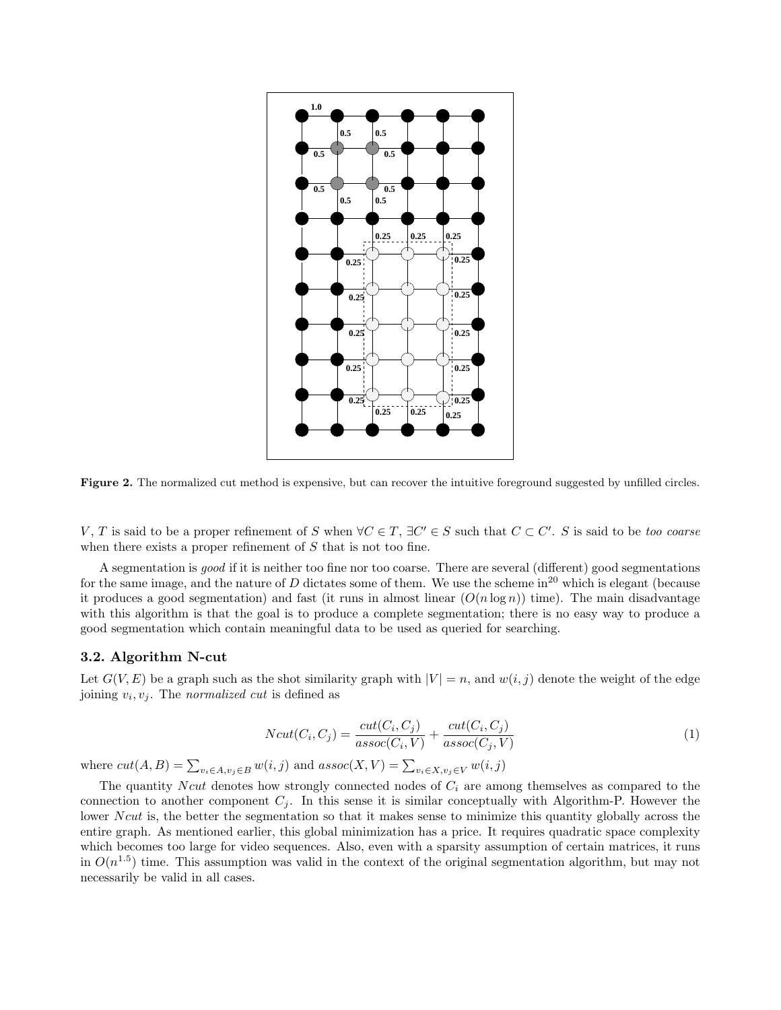

Figure 2. The normalized cut method is expensive, but can recover the intuitive foreground suggested by unfilled circles.

V, T is said to be a proper refinement of S when  $\forall C \in T$ ,  $\exists C' \in S$  such that  $C \subset C'$ . S is said to be too coarse when there exists a proper refinement of  $S$  that is not too fine.

A segmentation is good if it is neither too fine nor too coarse. There are several (different) good segmentations for the same image, and the nature of D dictates some of them. We use the scheme in<sup>20</sup> which is elegant (because it produces a good segmentation) and fast (it runs in almost linear  $(O(n \log n))$  time). The main disadvantage with this algorithm is that the goal is to produce a complete segmentation; there is no easy way to produce a good segmentation which contain meaningful data to be used as queried for searching.

#### 3.2. Algorithm N-cut

Let  $G(V, E)$  be a graph such as the shot similarity graph with  $|V| = n$ , and  $w(i, j)$  denote the weight of the edge joining  $v_i, v_j$ . The *normalized cut* is defined as

$$
Ncut(C_i, C_j) = \frac{cut(C_i, C_j)}{assoc(C_i, V)} + \frac{cut(C_i, C_j)}{assoc(C_j, V)}
$$
\n
$$
(1)
$$

where  $cut(A, B) = \sum_{v_i \in A, v_j \in B} w(i, j)$  and  $assoc(X, V) = \sum_{v_i \in X, v_j \in V} w(i, j)$ 

The quantity N cut denotes how strongly connected nodes of  $C_i$  are among themselves as compared to the connection to another component  $C_i$ . In this sense it is similar conceptually with Algorithm-P. However the lower N cut is, the better the segmentation so that it makes sense to minimize this quantity globally across the entire graph. As mentioned earlier, this global minimization has a price. It requires quadratic space complexity which becomes too large for video sequences. Also, even with a sparsity assumption of certain matrices, it runs in  $O(n^{1.5})$  time. This assumption was valid in the context of the original segmentation algorithm, but may not necessarily be valid in all cases.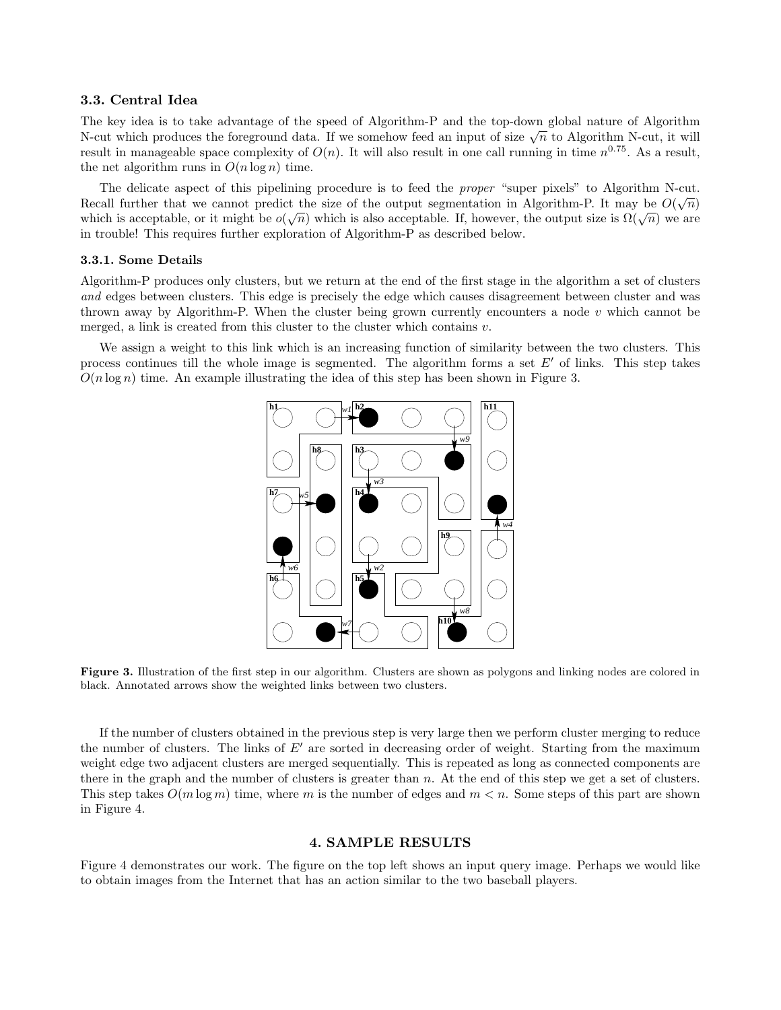#### 3.3. Central Idea

The key idea is to take advantage of the speed of Algorithm-P and the top-down global nature of Algorithm The key idea is to take advantage of the speed of Algorithm-r and the top-down global hattle of Algorithm N-cut, it will<br>N-cut which produces the foreground data. If we somehow feed an input of size  $\sqrt{n}$  to Algorithm Nresult in manageable space complexity of  $O(n)$ . It will also result in one call running in time  $n^{0.75}$ . As a result, the net algorithm runs in  $O(n \log n)$  time.

The delicate aspect of this pipelining procedure is to feed the *proper* "super pixels" to Algorithm N-cut. Recall further that we cannot predict the size of the output segmentation in Algorithm-P. It may be  $O(\sqrt{n})$ which is acceptable, or it might be  $o(\sqrt{n})$  which is also acceptable. If, however, the output size is  $\Omega(\sqrt{n})$  we are are  $o(\sqrt{n})$  witch is also acceptable. If, however, the output size is  $\Omega(\sqrt{n})$  we are in trouble! This requires further exploration of Algorithm-P as described below.

#### 3.3.1. Some Details

Algorithm-P produces only clusters, but we return at the end of the first stage in the algorithm a set of clusters and edges between clusters. This edge is precisely the edge which causes disagreement between cluster and was thrown away by Algorithm-P. When the cluster being grown currently encounters a node  $v$  which cannot be merged, a link is created from this cluster to the cluster which contains  $v$ .

We assign a weight to this link which is an increasing function of similarity between the two clusters. This process continues till the whole image is segmented. The algorithm forms a set  $E'$  of links. This step takes  $O(n \log n)$  time. An example illustrating the idea of this step has been shown in Figure 3.



Figure 3. Illustration of the first step in our algorithm. Clusters are shown as polygons and linking nodes are colored in black. Annotated arrows show the weighted links between two clusters.

If the number of clusters obtained in the previous step is very large then we perform cluster merging to reduce the number of clusters. The links of  $E'$  are sorted in decreasing order of weight. Starting from the maximum weight edge two adjacent clusters are merged sequentially. This is repeated as long as connected components are there in the graph and the number of clusters is greater than  $n$ . At the end of this step we get a set of clusters. This step takes  $O(m \log m)$  time, where m is the number of edges and  $m < n$ . Some steps of this part are shown in Figure 4.

#### 4. SAMPLE RESULTS

Figure 4 demonstrates our work. The figure on the top left shows an input query image. Perhaps we would like to obtain images from the Internet that has an action similar to the two baseball players.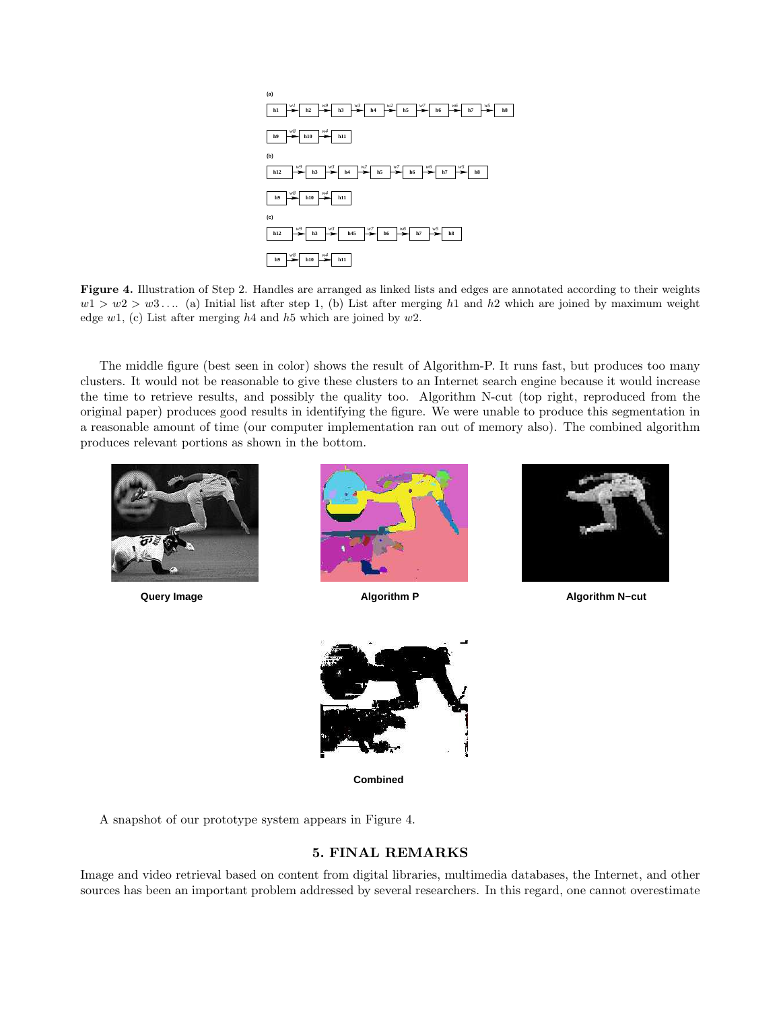

Figure 4. Illustration of Step 2. Handles are arranged as linked lists and edges are annotated according to their weights  $w1 > w2 > w3...$  (a) Initial list after step 1, (b) List after merging h1 and h2 which are joined by maximum weight edge  $w1$ , (c) List after merging  $h4$  and  $h5$  which are joined by  $w2$ .

The middle figure (best seen in color) shows the result of Algorithm-P. It runs fast, but produces too many clusters. It would not be reasonable to give these clusters to an Internet search engine because it would increase the time to retrieve results, and possibly the quality too. Algorithm N-cut (top right, reproduced from the original paper) produces good results in identifying the figure. We were unable to produce this segmentation in a reasonable amount of time (our computer implementation ran out of memory also). The combined algorithm produces relevant portions as shown in the bottom.







**Query Image Algorithm P Algorithm N−cut**



**Combined**

A snapshot of our prototype system appears in Figure 4.

# 5. FINAL REMARKS

Image and video retrieval based on content from digital libraries, multimedia databases, the Internet, and other sources has been an important problem addressed by several researchers. In this regard, one cannot overestimate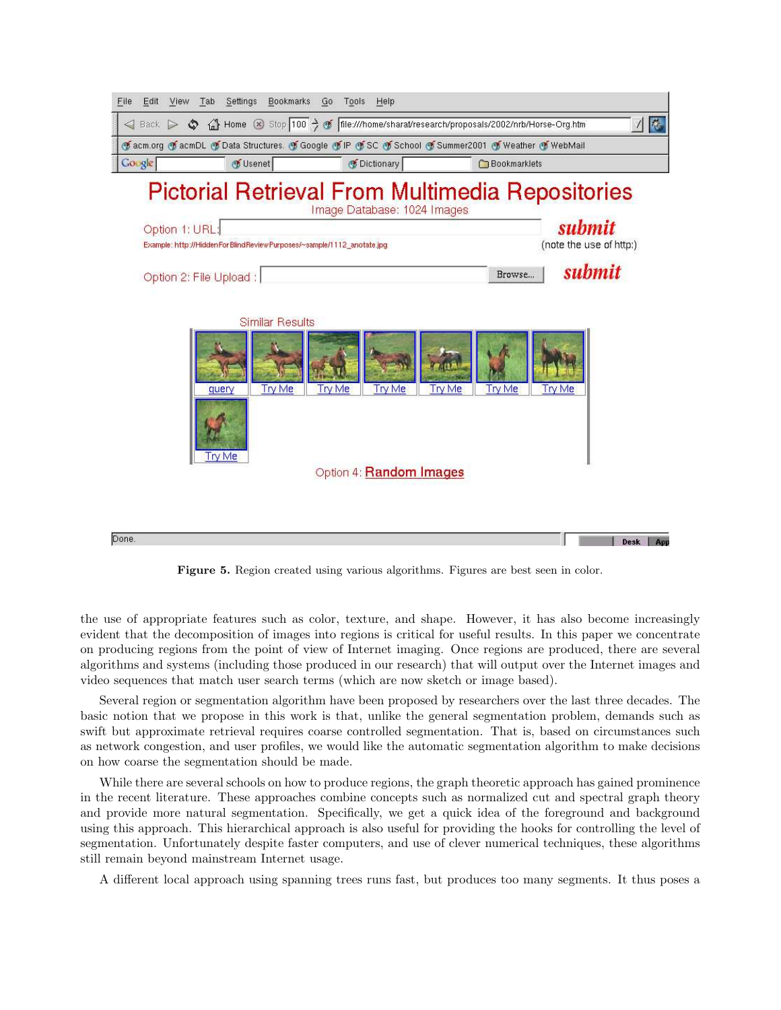

Figure 5. Region created using various algorithms. Figures are best seen in color.

the use of appropriate features such as color, texture, and shape. However, it has also become increasingly evident that the decomposition of images into regions is critical for useful results. In this paper we concentrate on producing regions from the point of view of Internet imaging. Once regions are produced, there are several algorithms and systems (including those produced in our research) that will output over the Internet images and video sequences that match user search terms (which are now sketch or image based).

Several region or segmentation algorithm have been proposed by researchers over the last three decades. The basic notion that we propose in this work is that, unlike the general segmentation problem, demands such as swift but approximate retrieval requires coarse controlled segmentation. That is, based on circumstances such as network congestion, and user profiles, we would like the automatic segmentation algorithm to make decisions on how coarse the segmentation should be made.

While there are several schools on how to produce regions, the graph theoretic approach has gained prominence in the recent literature. These approaches combine concepts such as normalized cut and spectral graph theory and provide more natural segmentation. Specifically, we get a quick idea of the foreground and background using this approach. This hierarchical approach is also useful for providing the hooks for controlling the level of segmentation. Unfortunately despite faster computers, and use of clever numerical techniques, these algorithms still remain beyond mainstream Internet usage.

A different local approach using spanning trees runs fast, but produces too many segments. It thus poses a